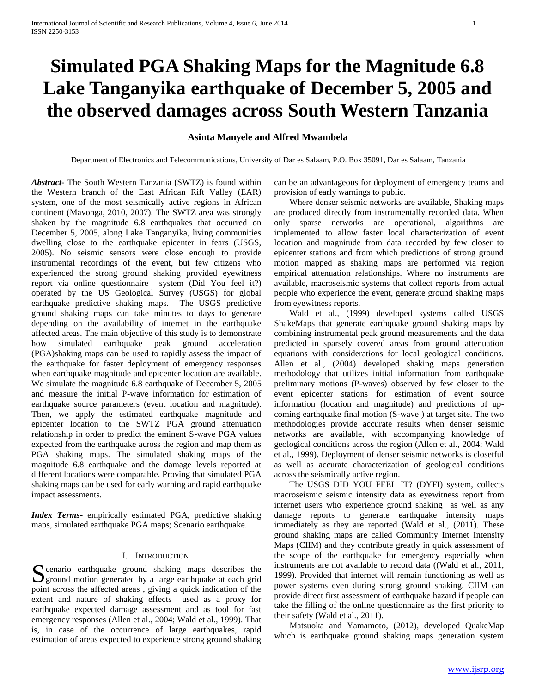# **Simulated PGA Shaking Maps for the Magnitude 6.8 Lake Tanganyika earthquake of December 5, 2005 and the observed damages across South Western Tanzania**

# **Asinta Manyele and Alfred Mwambela**

Department of Electronics and Telecommunications, University of Dar es Salaam, P.O. Box 35091, Dar es Salaam, Tanzania

*Abstract***-** The South Western Tanzania (SWTZ) is found within the Western branch of the East African Rift Valley (EAR) system, one of the most seismically active regions in African continent (Mavonga, 2010, 2007). The SWTZ area was strongly shaken by the magnitude 6.8 earthquakes that occurred on December 5, 2005, along Lake Tanganyika, living communities dwelling close to the earthquake epicenter in fears (USGS, 2005). No seismic sensors were close enough to provide instrumental recordings of the event, but few citizens who experienced the strong ground shaking provided eyewitness report via online questionnaire system (Did You feel it?) operated by the US Geological Survey (USGS) for global earthquake predictive shaking maps. The USGS predictive ground shaking maps can take minutes to days to generate depending on the availability of internet in the earthquake affected areas. The main objective of this study is to demonstrate how simulated earthquake peak ground acceleration (PGA)shaking maps can be used to rapidly assess the impact of the earthquake for faster deployment of emergency responses when earthquake magnitude and epicenter location are available. We simulate the magnitude 6.8 earthquake of December 5, 2005 and measure the initial P-wave information for estimation of earthquake source parameters (event location and magnitude). Then, we apply the estimated earthquake magnitude and epicenter location to the SWTZ PGA ground attenuation relationship in order to predict the eminent S-wave PGA values expected from the earthquake across the region and map them as PGA shaking maps. The simulated shaking maps of the magnitude 6.8 earthquake and the damage levels reported at different locations were comparable. Proving that simulated PGA shaking maps can be used for early warning and rapid earthquake impact assessments.

*Index Terms*- empirically estimated PGA, predictive shaking maps, simulated earthquake PGA maps; Scenario earthquake.

# I. INTRODUCTION

cenario earthquake ground shaking maps describes the S cenario earthquake ground shaking maps describes the ground motion generated by a large earthquake at each grid point across the affected areas , giving a quick indication of the extent and nature of shaking effects used as a proxy for earthquake expected damage assessment and as tool for fast emergency responses (Allen et al., 2004; Wald et al., 1999). That is, in case of the occurrence of large earthquakes, rapid estimation of areas expected to experience strong ground shaking

can be an advantageous for deployment of emergency teams and provision of early warnings to public.

 Where denser seismic networks are available, Shaking maps are produced directly from instrumentally recorded data. When only sparse networks are operational, algorithms are implemented to allow faster local characterization of event location and magnitude from data recorded by few closer to epicenter stations and from which predictions of strong ground motion mapped as shaking maps are performed via region empirical attenuation relationships. Where no instruments are available, macroseismic systems that collect reports from actual people who experience the event, generate ground shaking maps from eyewitness reports.

 Wald et al., (1999) developed systems called USGS ShakeMaps that generate earthquake ground shaking maps by combining instrumental peak ground measurements and the data predicted in sparsely covered areas from ground attenuation equations with considerations for local geological conditions. Allen et al., (2004) developed shaking maps generation methodology that utilizes initial information from earthquake preliminary motions (P-waves) observed by few closer to the event epicenter stations for estimation of event source information (location and magnitude) and predictions of upcoming earthquake final motion (S-wave ) at target site. The two methodologies provide accurate results when denser seismic networks are available, with accompanying knowledge of geological conditions across the region (Allen et al., 2004; Wald et al., 1999). Deployment of denser seismic networks is closetful as well as accurate characterization of geological conditions across the seismically active region.

 The USGS DID YOU FEEL IT? (DYFI) system, collects macroseismic seismic intensity data as eyewitness report from internet users who experience ground shaking as well as any damage reports to generate earthquake intensity maps immediately as they are reported (Wald et al., (2011). These ground shaking maps are called Community Internet Intensity Maps (CIIM) and they contribute greatly in quick assessment of the scope of the earthquake for emergency especially when instruments are not available to record data ((Wald et al., 2011, 1999). Provided that internet will remain functioning as well as power systems even during strong ground shaking, CIIM can provide direct first assessment of earthquake hazard if people can take the filling of the online questionnaire as the first priority to their safety (Wald et al., 2011).

 Matsuoka and Yamamoto, (2012), developed QuakeMap which is earthquake ground shaking maps generation system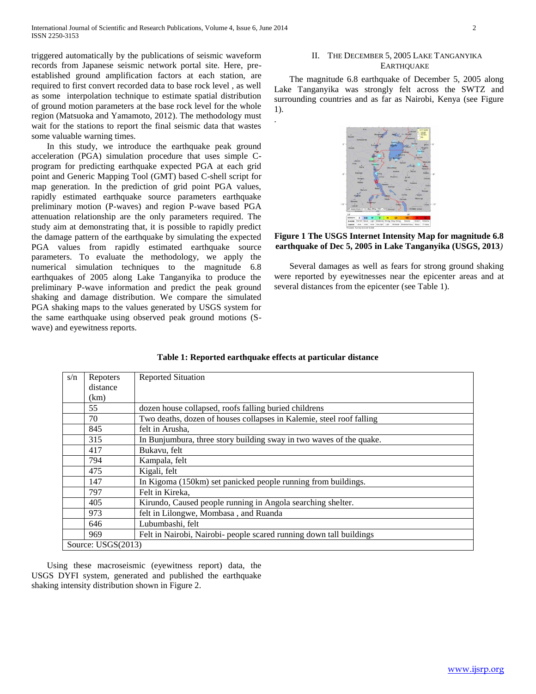triggered automatically by the publications of seismic waveform records from Japanese seismic network portal site. Here, preestablished ground amplification factors at each station, are required to first convert recorded data to base rock level , as well as some interpolation technique to estimate spatial distribution of ground motion parameters at the base rock level for the whole region (Matsuoka and Yamamoto, 2012). The methodology must wait for the stations to report the final seismic data that wastes some valuable warning times.

 In this study, we introduce the earthquake peak ground acceleration (PGA) simulation procedure that uses simple Cprogram for predicting earthquake expected PGA at each grid point and Generic Mapping Tool (GMT) based C-shell script for map generation. In the prediction of grid point PGA values, rapidly estimated earthquake source parameters earthquake preliminary motion (P-waves) and region P-wave based PGA attenuation relationship are the only parameters required. The study aim at demonstrating that, it is possible to rapidly predict the damage pattern of the earthquake by simulating the expected PGA values from rapidly estimated earthquake source parameters. To evaluate the methodology, we apply the numerical simulation techniques to the magnitude 6.8 earthquakes of 2005 along Lake Tanganyika to produce the preliminary P-wave information and predict the peak ground shaking and damage distribution. We compare the simulated PGA shaking maps to the values generated by USGS system for the same earthquake using observed peak ground motions (Swave) and eyewitness reports.

# II. THE DECEMBER 5, 2005 LAKE TANGANYIKA **EARTHOUAKE**

 The magnitude 6.8 earthquake of December 5, 2005 along Lake Tanganyika was strongly felt across the SWTZ and surrounding countries and as far as Nairobi, Kenya (see Figure 1). .



**Figure 1 The USGS Internet Intensity Map for magnitude 6.8 earthquake of Dec 5, 2005 in Lake Tanganyika (USGS, 2013***)*

 Several damages as well as fears for strong ground shaking were reported by eyewitnesses near the epicenter areas and at several distances from the epicenter (see Table 1).

| s/n | Repoters           | <b>Reported Situation</b>                                            |  |  |  |  |
|-----|--------------------|----------------------------------------------------------------------|--|--|--|--|
|     | distance           |                                                                      |  |  |  |  |
|     | (km)               |                                                                      |  |  |  |  |
|     | 55                 | dozen house collapsed, roofs falling buried childrens                |  |  |  |  |
|     | 70                 | Two deaths, dozen of houses collapses in Kalemie, steel roof falling |  |  |  |  |
|     | 845                | felt in Arusha.                                                      |  |  |  |  |
|     | 315                | In Bunjumbura, three story building sway in two waves of the quake.  |  |  |  |  |
|     | 417                | Bukavu, felt                                                         |  |  |  |  |
|     | 794                | Kampala, felt                                                        |  |  |  |  |
|     | 475                | Kigali, felt                                                         |  |  |  |  |
|     | 147                | In Kigoma (150km) set panicked people running from buildings.        |  |  |  |  |
|     | 797                | Felt in Kireka,                                                      |  |  |  |  |
|     | 405                | Kirundo, Caused people running in Angola searching shelter.          |  |  |  |  |
|     | 973                | felt in Lilongwe, Mombasa, and Ruanda                                |  |  |  |  |
|     | 646                | Lubumbashi, felt                                                     |  |  |  |  |
|     | 969                | Felt in Nairobi, Nairobi- people scared running down tall buildings  |  |  |  |  |
|     | Source: USGS(2013) |                                                                      |  |  |  |  |

# **Table 1: Reported earthquake effects at particular distance**

 Using these macroseismic (eyewitness report) data, the USGS DYFI system, generated and published the earthquake shaking intensity distribution shown in Figure 2.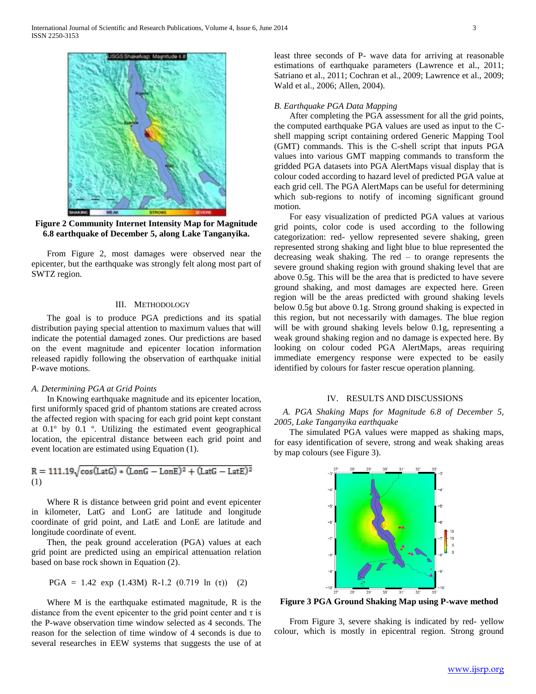

**Figure 2 Community Internet Intensity Map for Magnitude 6.8 earthquake of December 5, along Lake Tanganyika.**

 From Figure 2, most damages were observed near the epicenter, but the earthquake was strongly felt along most part of SWTZ region.

# III. METHODOLOGY

 The goal is to produce PGA predictions and its spatial distribution paying special attention to maximum values that will indicate the potential damaged zones. Our predictions are based on the event magnitude and epicenter location information released rapidly following the observation of earthquake initial P-wave motions.

#### *A. Determining PGA at Grid Points*

 In Knowing earthquake magnitude and its epicenter location, first uniformly spaced grid of phantom stations are created across the affected region with spacing for each grid point kept constant at 0.1º by 0.1 º. Utilizing the estimated event geographical location, the epicentral distance between each grid point and event location are estimated using Equation (1).

$$
R = 111.19\sqrt{\cos(\text{LatG}) \cdot (\text{LonG} - \text{LonE})^2 + (\text{LatG} - \text{LatE})^2}
$$
  
(1)

 Where R is distance between grid point and event epicenter in kilometer, LatG and LonG are latitude and longitude coordinate of grid point, and LatE and LonE are latitude and longitude coordinate of event.

 Then, the peak ground acceleration (PGA) values at each grid point are predicted using an empirical attenuation relation based on base rock shown in Equation (2).

$$
PGA = 1.42 \exp (1.43M) R-1.2 (0.719 ln (τ)) (2)
$$

 Where M is the earthquake estimated magnitude, R is the distance from the event epicenter to the grid point center and  $\tau$  is the P-wave observation time window selected as 4 seconds. The reason for the selection of time window of 4 seconds is due to several researches in EEW systems that suggests the use of at

least three seconds of P- wave data for arriving at reasonable estimations of earthquake parameters (Lawrence et al., 2011; Satriano et al., 2011; Cochran et al., 2009; Lawrence et al., 2009; Wald et al., 2006; Allen, 2004).

#### *B. Earthquake PGA Data Mapping*

 After completing the PGA assessment for all the grid points, the computed earthquake PGA values are used as input to the Cshell mapping script containing ordered Generic Mapping Tool (GMT) commands. This is the C-shell script that inputs PGA values into various GMT mapping commands to transform the gridded PGA datasets into PGA AlertMaps visual display that is colour coded according to hazard level of predicted PGA value at each grid cell. The PGA AlertMaps can be useful for determining which sub-regions to notify of incoming significant ground motion.

 For easy visualization of predicted PGA values at various grid points, color code is used according to the following categorization: red- yellow represented severe shaking, green represented strong shaking and light blue to blue represented the decreasing weak shaking. The red – to orange represents the severe ground shaking region with ground shaking level that are above 0.5g. This will be the area that is predicted to have severe ground shaking, and most damages are expected here. Green region will be the areas predicted with ground shaking levels below 0.5g but above 0.1g. Strong ground shaking is expected in this region, but not necessarily with damages. The blue region will be with ground shaking levels below 0.1g, representing a weak ground shaking region and no damage is expected here. By looking on colour coded PGA AlertMaps, areas requiring immediate emergency response were expected to be easily identified by colours for faster rescue operation planning.

### IV. RESULTS AND DISCUSSIONS

 *A. PGA Shaking Maps for Magnitude 6.8 of December 5, 2005, Lake Tanganyika earthquake* 

 The simulated PGA values were mapped as shaking maps, for easy identification of severe, strong and weak shaking areas by map colours (see Figure 3).



**Figure 3 PGA Ground Shaking Map using P-wave method**

 From Figure 3, severe shaking is indicated by red- yellow colour, which is mostly in epicentral region. Strong ground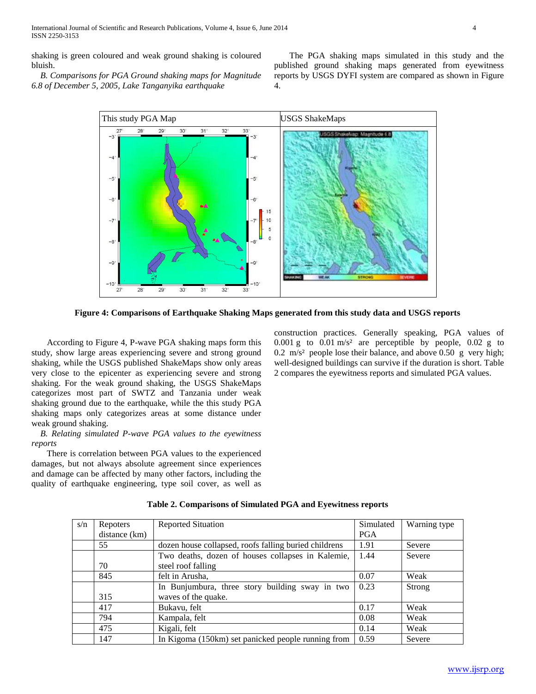International Journal of Scientific and Research Publications, Volume 4, Issue 6, June 2014 4 ISSN 2250-3153

shaking is green coloured and weak ground shaking is coloured bluish.

 *B. Comparisons for PGA Ground shaking maps for Magnitude 6.8 of December 5, 2005, Lake Tanganyika earthquake*

 The PGA shaking maps simulated in this study and the published ground shaking maps generated from eyewitness reports by USGS DYFI system are compared as shown in Figure 4.



**Figure 4: Comparisons of Earthquake Shaking Maps generated from this study data and USGS reports**

 According to Figure 4, P-wave PGA shaking maps form this study, show large areas experiencing severe and strong ground shaking, while the USGS published ShakeMaps show only areas very close to the epicenter as experiencing severe and strong shaking. For the weak ground shaking, the USGS ShakeMaps categorizes most part of SWTZ and Tanzania under weak shaking ground due to the earthquake, while the this study PGA shaking maps only categorizes areas at some distance under weak ground shaking.

 *B. Relating simulated P-wave PGA values to the eyewitness reports*

 There is correlation between PGA values to the experienced damages, but not always absolute agreement since experiences and damage can be affected by many other factors, including the quality of earthquake engineering, type soil cover, as well as construction practices. Generally speaking, PGA values of 0.001 g to  $0.01 \text{ m/s}^2$  are perceptible by people, 0.02 g to 0.2 m/s² people lose their balance, and above 0.50 g very high; well-designed buildings can survive if the duration is short. Table 2 compares the eyewitness reports and simulated PGA values.

| s/n | <b>Repoters</b> | <b>Reported Situation</b>                             | Simulated  | Warning type |
|-----|-----------------|-------------------------------------------------------|------------|--------------|
|     | distance (km)   |                                                       | <b>PGA</b> |              |
|     | 55              | dozen house collapsed, roofs falling buried childrens | 1.91       | Severe       |
|     |                 | Two deaths, dozen of houses collapses in Kalemie,     | 1.44       | Severe       |
|     | 70              | steel roof falling                                    |            |              |
|     | 845             | felt in Arusha,                                       | 0.07       | Weak         |
|     |                 | In Bunjumbura, three story building sway in two       | 0.23       | Strong       |
|     | 315             | waves of the quake.                                   |            |              |
|     | 417             | Bukavu, felt                                          | 0.17       | Weak         |
|     | 794             | Kampala, felt                                         | 0.08       | Weak         |
|     | 475             | Kigali, felt                                          | 0.14       | Weak         |
|     | 147             | In Kigoma (150km) set panicked people running from    | 0.59       | Severe       |

**Table 2. Comparisons of Simulated PGA and Eyewitness reports**